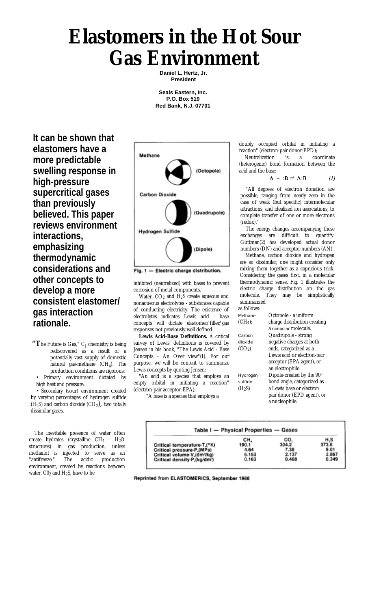# **Elastomers in the Hot Sour Gas Environment**

**Daniel L. Hertz, Jr. President** 

**Seals Eastern, Inc. P.O. Box 519 Red Bank, N.J. 07701** 

**It can be shown that elastomers have a more predictable swelling response in high-pressure supercritical gases than previously believed. This paper reviews environment interactions, emphasizing thermodynamic considerations and other concepts to develop a more consistent elastomer/ gas interaction rationale.** 

**"The Future is Gas,"** C<sub>1</sub> chemistry is being rediscovered as a result of a potentially vast supply of domestic natural gas-methane  $(CH_4)$ . The production conditions are rigorous: • Primary environment dictated by high heat and pressure.

• Secondary (sour) environment created by varying percentages of hydrogen sulfide  $(H<sub>2</sub>S)$  and carbon dioxide (CO<sub>2</sub>), two totally dissimilar gases.

The inevitable presence of water often create hydrates (crystalline CH4 - H2O structures) in gas production, unless methanol is injected to serve as an "antifreeze." The acidic production The acidic production environment, created by reactions between water, C02 and H<sub>2</sub>S, have to be



Fig. 1 - Electric charge distribution.

inhibited (neutralized) with bases to prevent corrosion of metal components.

Water,  $CO<sub>2</sub>$  and  $H<sub>2</sub>S$  create aqueous and nonaqueous electrolytes - substances capable of conducting electricity. The existence of electrolytes indicates Lewis acid - base concepts will dictate elastomer/filler/gas responses not previously well defined.

**Lewis Acid-Base Definitions.** A critical survey of Lewis' definitions is covered by Jensen in his book, "The Lewis Acid - Base Concepts - An Over view"(I). For our purpose, we will be content to summarize Lewis concepts by quoting Jensen:

"An acid is a species that employs an empty orbital in initiating a reaction" (electron-pair acceptor-EPA);

"A base is a species that employs a

doubly occupied orbital in initiating a

reaction" (electron-pair donor-EPD);<br>Neutralization is a coordinate Neutralization is a (heterogenic) bond formation between the acid and the base:

> $A + :B = A:B$  $(1)$

"All degrees of electron donation are possible, ranging from nearly zero in the case of weak (but specific) intermolecular attractions, and idealized ion associations, to complete transfer of one or more electrons (redox)."

The energy changes accompanying these exchanges are difficult to quantify. Guttman(2) has developed actual donor numbers (DN) and acceptor numbers (AN).

Methane, carbon dioxide and hydrogen are so dissimilar, one might consider only mixing them together as a capricious trick. Considering the gases first, in a molecular thermodynamic sense, Fig. 1 illustrates the electric charge distribution on the gas molecule. They may be simplistically summarized as follows:

| Methane            | Octopole - a uniform               |
|--------------------|------------------------------------|
| $(CH_4):$          | charge distribution creating       |
|                    | a nonpolar molecule.               |
| Carbon             | Quadrupole - strong                |
| dioxide            | negative charges at both           |
| (CO <sub>2</sub> ) | ends, categorized as a             |
|                    | Lewis acid or electron-pair        |
|                    | acceptor (EPA agent), or           |
|                    | an electrophile.                   |
| Hydrogen           | Dipole-created by the $90^{\circ}$ |
| sulfide            | bond angle, categorized as         |
| (H <sub>2</sub> S) | a Lewis base or electron           |
|                    | pair donor (EPD agent), or         |
|                    | a nucleophile.                     |
|                    |                                    |

|                                          | CH.   | CO.   | H.S   |
|------------------------------------------|-------|-------|-------|
| Critical temperature T.(°K)              | 190.1 | 304.2 | 373.6 |
| Critical pressure-P.(MPa)                | 4.64  | 7.38  | 9.01  |
| Critical volume V.(dm <sup>3</sup> /kg)  | 6.153 | 2.137 | 2.867 |
| Critical density-P.(kg/dm <sup>3</sup> ) | 0.163 | 0.468 | 0.349 |

Reprinted from ELASTOMERICS, September 1986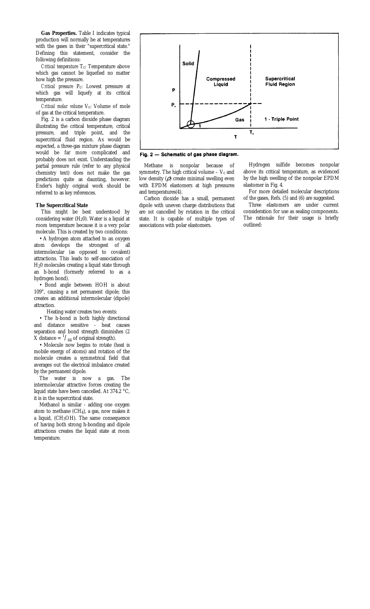**Gas Properties.** Table I indicates typical production will normally be at temperatures with the gases in their "supercritical state." Defining this statement, consider the following definitions:

*Critical temperature* T<sub>c</sub>: Temperature above which gas cannot be liquefied no matter how high the pressure.

*Critical pressure* Pc: Lowest pressure at which gas will liquefy at its critical temperature.

*Critical molar volume* V<sub>c</sub>: Volume of mole of gas at the critical temperature.

Fig. 2 is a carbon dioxide phase diagram illustrating the critical temperature, critical pressure, and triple point, and the supercritical fluid region. As would be expected, a three-gas mixture phase diagram would be far more complicated and probably does not exist. Understanding the partial pressure rule (refer to any physical chemistry text) does not make the gas predictions quite as daunting, however. Ender's highly original work should be referred to as key references.

## **The Supercritical State**

This might be best understood by considering water (H20). Water is a liquid at room temperature because it is a very polar molecule. This is created by two conditions:

• A hydrogen atom attached to an oxygen atom develops the strongest of all intermolecular (as opposed to covalent) attractions. This leads to self-association of H20 molecules creating a liquid state through an h-bond (formerly referred to as a hydrogen bond).

• Bond angle between HOH is about 109°, causing a net permanent dipole; this creates an additional intermolecular (dipole) attraction.

Heating water creates two events:

• The h-bond is both highly directional and distance sensitive - heat causes separation and bond strength diminishes (2 X distance  $=$   $\frac{1}{64}$  of original strength).

• Molecule now begins to rotate (heat is mobile energy of atoms) and rotation of the molecule creates a symmetrical field that averages out the electrical imbalance created by the permanent dipole.

The water is now a gas. The intermolecular attractive forces creating the liquid state have been cancelled. At 374.2 °C, it is in the supercritical state.

Methanol is similar - adding one oxygen atom to methane (CH4), a gas, now makes it a liquid, (CH3OH). The same consequence of having both strong h-bonding and dipole attractions creates the liquid state at room temperature.



# Fig. 2 - Schematic of gas phase diagram.

Methane is nonpolar because of symmetry. The high critical volume  $- V_c$  and low density  $(\rho)$  create minimal swelling even with EPDM elastomers at high pressures and temperatures(4).

Carbon dioxide has a small, permanent dipole with uneven charge distributions that are *not* cancelled by rotation in the critical state. It is capable of multiple types of associations with polar elastomers.

Hydrogen sulfide becomes nonpolar above its critical temperature, as evidenced by the high swelling of the nonpolar EPDM elastomer in Fig. 4.

For more detailed molecular descriptions of the gases, Refs. (5) and (6) are suggested.

Three elastomers are under current consideration for use as sealing components. The rationale for their usage is briefly outlined: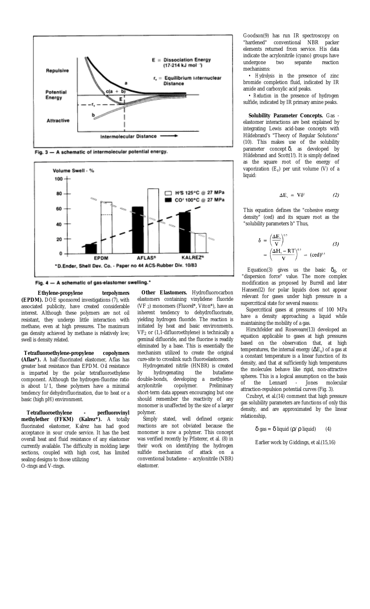

Fig. 3 - A schematic of intermolecular potential energy.



Fig. 4 - A schematic of gas-elastomer swelling.\*

 **Ethylene-propylene terpolymers (EPDM).** DOE sponsored investigations (7), with associated publicity, have created considerable interest. Although these polymers are not oil resistant, they undergo little interaction with methane, even at high pressures. The maximum gas density achieved by methane is relatively low; swell is density related.

 **Tetrafluoroethylene-propylene copolymers (Aflas\*).** A half-fluorinated elastomer, Aflas has greater heat resistance than EPDM. Oil resistance is imparted by the polar tetrafluoroethylene component. Although the hydrogen-fluorine ratio is about 1/1, these polymers have a minimal tendency for dehydrofluorination, due to heat or a basic (high pH) environment.

**Tetrafluoroethylene - perfluorovinyl methylether (FFKM) (Kalrez\*).** A totally fluorinated elastomer, Kalrez has had good acceptance in sour crude service. It has the best overall heat and fluid resistance of any elastomer currently available. The difficulty in molding large sections, coupled with high cost, has limited sealing designs to those utilizing O-rings and V-rings.

 **Other Elastomers.** Hydrofluorocarbon elastomers containing vinylidene fluoride (VF 2) monomers (Fluorel\*, Viton\*), have an inherent tendency to dehydrofluorinate, yielding hydrogen fluoride. The reaction is initiated by heat and basic environments.  $VF<sub>2</sub>$  or (1,1-difluoroethylene) is technically a geminal difluoride, and the fluorine is readily eliminated by a base. This is essentially the mechanism utilized to create the original cure-site to crosslink such fluoroelastomers.

Hydrogenated nitrile (HNBR) is created by hydrogenating the butadiene double-bonds, developing a methyleneacrylonitrile copolymer. Preliminary short-term data appears encouraging but one should remember the reactivity of any monomer is unaffected by the size of a larger polymer.

Simply stated, well defined organic reactions are not obviated because the monomer is now a polymer. This concept was verified recently by Pfisterer, et al. (8) in their work on identifying the hydrogen sulfide mechanism of attack on a conventional butadiene – acrylonitrile (NBR) elastomer.

Goodson(9) has run IR spectroscopy on "hardened" conventional NBR packer elements returned from service. His data indicate the acrylonitrile (cyano) groups have undergone two separate reaction mechanisms:

*• Hydrolysis* in the presence of zinc bromide completion fluid, indicated by IR amide and carboxylic acid peaks.

*• Reduction* in the presence of hydrogen sulfide, indicated by IR primary amine peaks.

**Solubility Parameter Concepts.** Gas elastomer interactions are best explained by integrating Lewis acid-base concepts with Hildebrand's "Theory of Regular Solutions" (10). This makes use of the solubility parameter concept  $\delta$ , as developed by Hildebrand and Scott(1!). It is simply defined as the square root of the energy of vaporization  $(E_v)$  per unit volume  $(V)$  of a  $\liminf$ 

$$
\Delta E_{v} = V\delta^{2} \qquad (2)
$$

This equation defines the "cohesive energy density" (ced) and its square root as the "solubility parameters b" Thus,

$$
\delta = \left(\frac{\Delta E_v}{V}\right)^{0.5}
$$
  
= 
$$
\left(\frac{\Delta H_v - RT}{V}\right)^{0.5} = (ced)^{0.5}
$$
 (3)

Equation(3) gives us the basic  $\delta_d$ , or "dispersion force" value. The more complex modification as proposed by Burrell and later Hansen(l2) for polar liquids does not appear relevant for gases under high pressure in a supercritical state for several reasons:

Supercritical gases at pressures of 100 MPa have a density approaching a liquid while maintaining the mobility of a gas.

Hirschfelder and Roseveare(13) developed an equation applicable to gases at high pressures based on the observation that, at high temperatures, the internal energy ( $\Delta E_v$ ) of a gas at a constant temperature is a linear function of its density, and that at sufficiently high temperatures the molecules behave like rigid, non-attractive spheres. This is a logical assumption on the basis<br>of the Lennard - Jones molecular of the Lennard - Jones molecular attraction-repulsion potential curves (Fig. 3).

Czubryt, et al.(14) comment that high pressure gas solubility parameters are functions of only this density, and are approximated by the linear relationship,

 $δ$  gas =  $δ$  liquid ( $ρ/ρ$  liquid) (4)

Earlier work by Giddings, et al.(15,16)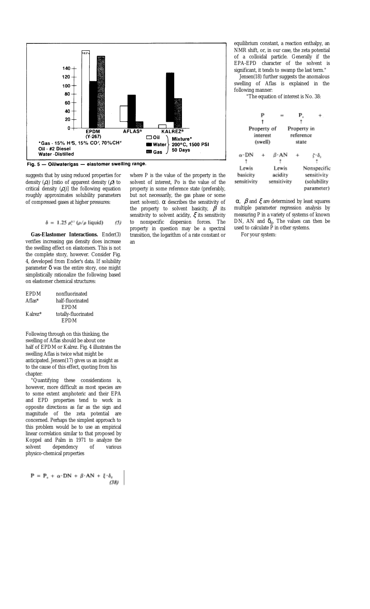

Fig. 5 - Oil/water/gas - elastomer swelling range.

suggests that by using reduced properties for density (*ρ<sub>p</sub>*) [ratio of apparent density (*ρ*) to critical density  $(\rho_e)$ ] the following equation roughly approximates solubility parameters of compressed gases at higher pressures:

> $\delta = 1.25 \rho_r^{a}$ :  $(\rho/\rho \text{ liquid})$  $(5)$

**Gas-Elastomer Interactions.** Ender(3) verifies increasing gas density does increase the swelling effect on elastomers. This is not the complete story, however. Consider Fig. 4, developed from Ender's data. If solubility parameter  $\delta$  was the entire story, one might simplistically rationalize the following based on elastomer chemical structures:

| <b>EPDM</b> | nonfluorinated      |
|-------------|---------------------|
| Aflas $*$   | half-fluorinated    |
|             | <b>EPDM</b>         |
| Kalrez*     | totally-fluorinated |
|             | <b>EPDM</b>         |

Following through on this thinking, the swelling of Aflas should be about one half of EPDM or Kalrez. Fig. 4 illustrates the swelling Aflas is twice what might be anticipated. Jensen(17) gives us an insight as to the cause of this effect, quoting from his chapter:

"Quantifying these considerations is, however, more difficult as most species are to some extent amphoteric and their EPA and EPD properties tend to work in opposite directions as far as the sign and magnitude of the zeta potential are concerned. Perhaps the simplest approach to this problem would be to use an empirical linear correlation similar to that proposed by Koppel and Palm in 1971 to analyze the solvent dependency of various physico-chemical properties

$$
P = P_s + \alpha \cdot DN + \beta \cdot AN + \xi \cdot \delta_s
$$
 (38)

where P is the value of the property in the solvent of interest, Po is the value of the property in some reference state (preferably, but not necessarily, the gas phase or some inert solvent).  $\alpha$  describes the sensitivity of the property to solvent basicity,  $\beta$  its sensitivity to solvent acidity,  $\xi$  its sensitivity to nonspecific dispersion forces. The property in question may be a spectral transition, the logarithm of a rate constant or an

equilibrium constant, a reaction enthalpy, an NMR shift, or, in our case, the zeta potential of a colloidal particle. Generally if the EPA-EPD character of the solvent is significant, it tends to swamp the last term."

Jensen(18) further suggests the anomalous swelling of Aflas is explained in the following manner:

"The equation of interest is No. 38:



α,  $β$  and  $ξ$  are determined by least squares multiple parameter regression analysis by measuring P in a variety of systems of known DN, AN and  $\delta_d$ , The values can then be used to calculate  $\stackrel{..}{P}$  in other systems.

For your system: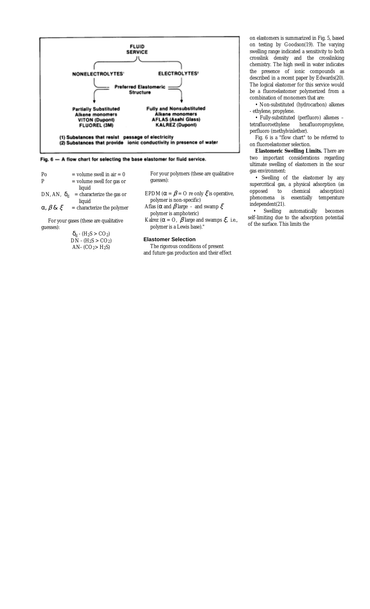

Fig. 6 - A flow chart for selecting the base elastomer for fluid service.

| Po | $=$ volume swell in air $= 0$                     |   |
|----|---------------------------------------------------|---|
| P  | $=$ volume swell for gas or                       |   |
|    | liquid                                            |   |
|    | DN, AN, $\delta_d$ = characterize the gas or      | E |
|    | liquid                                            |   |
|    | $\alpha, \beta \& \xi$ = characterize the polymer | А |
|    |                                                   |   |

For your gases (these are qualitative guesses):

 $\delta_d$  - (H<sub>2</sub>S > CO<sub>2</sub>)  $DN - (H_2S > CO_2)$ AN-  $(CO_2> H_2S)$ 

For your polymers (these are qualitative guesses):

EPDM ( $\alpha = \beta = O$  re only  $\xi$  is operative, polymer is non-specific) *flas* ( $\alpha$  and  $\beta$  large - and swamp  $\xi$ polymer is amphoteric) Kalrez ( $\alpha = O$ ,  $\beta$  large and swamps  $\xi$ , i.e.,

polymer is a Lewis base)."

**Elastomer Selection** 

The rigorous conditions of present and future gas production and their effect on elastomers is summarized in Fig. 5, based on testing by Goodson(19). The varying swelling range indicated a sensitivity to both crosslink density and the crosslinking chemistry. The high swell in water indicates the presence of ionic compounds as described in a recent paper by Edwards(20). The logical elastomer for this service would be a fluoroelastomer polymerized from a combination of monomers that are:

• Non-substituted (hydrocarbon) alkenes - ethylene, propylene.

• Fully-substituted (perfluoro) alkenes – hexafluoropropylene, perfluoro (methylvinlether).

Fig. 6 is a "flow chart" to be referred to on fluoroelastomer selection.

**Elastomeric Swelling Limits.** There are two important considerations regarding ultimate swelling of elastomers in the sour gas environment:

• Swelling of the elastomer by any supercritical gas, a physical adsorption (as opposed to chemical adsorption) phenomena is essentially temperature independent(21).

• Swelling automatically becomes self-limiting due to the adsorption potential of the surface. This limits the